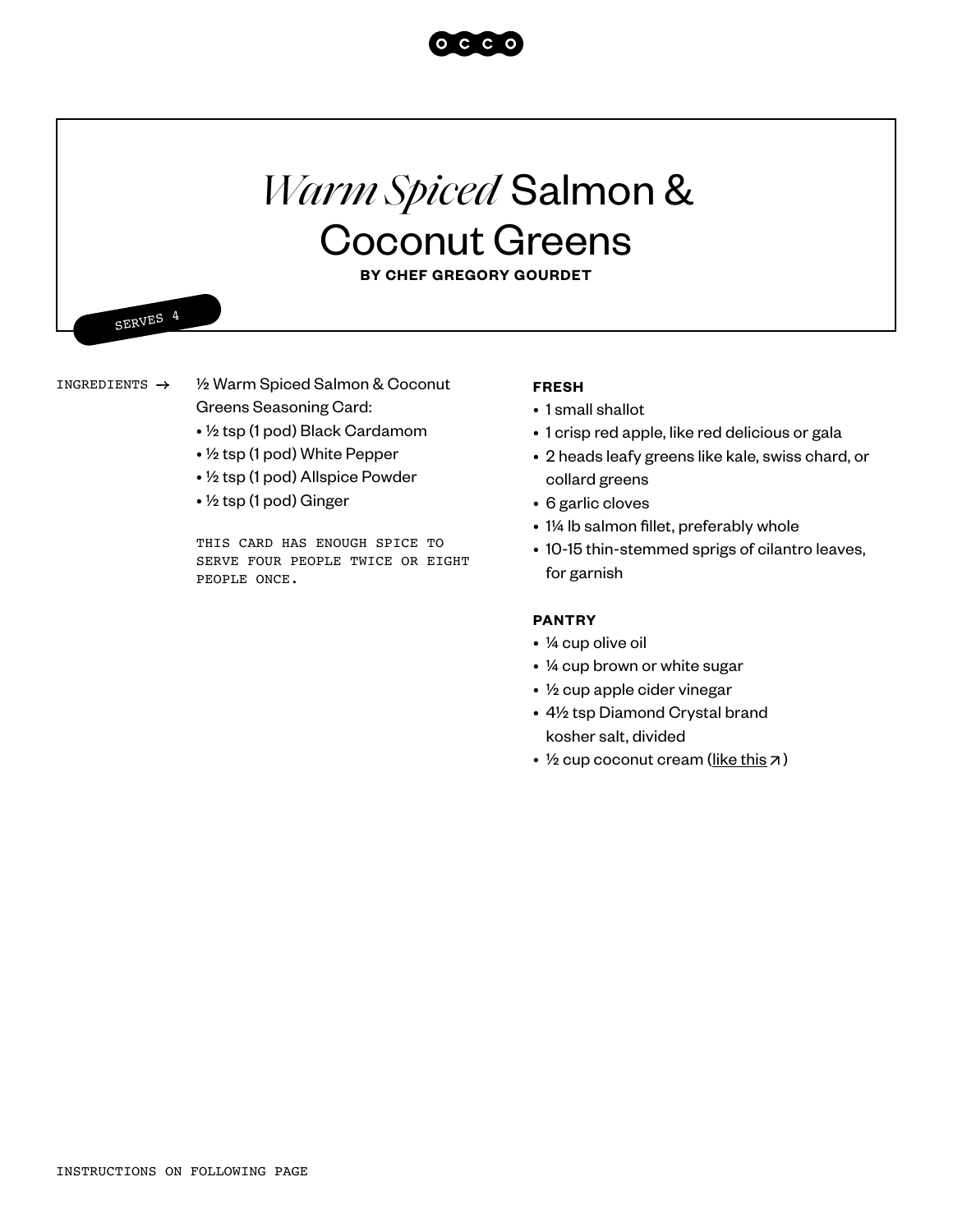

# *Warm Spiced* Salmon & Coconut Greens

**BY CHEF GREGORY GOURDET**

SERVES 4

INGREDIENTS  $\rightarrow$ 

½ Warm Spiced Salmon & Coconut Greens Seasoning Card:

- ½ tsp (1 pod) Black Cardamom
- ½ tsp (1 pod) White Pepper
- ½ tsp (1 pod) Allspice Powder
- ½ tsp (1 pod) Ginger

THIS CARD HAS ENOUGH SPICE TO SERVE FOUR PEOPLE TWICE OR EIGHT PEOPLE ONCE.

### **FRESH**

- 1 small shallot
- 1 crisp red apple, like red delicious or gala
- 2 heads leafy greens like kale, swiss chard, or collard greens
- 6 garlic cloves
- 1¼ lb salmon fillet, preferably whole
- 10-15 thin-stemmed sprigs of cilantro leaves, for garnish

## **PANTRY**

- ¼ cup olive oil
- ¼ cup brown or white sugar
- ½ cup apple cider vinegar
- 4½ tsp Diamond Crystal brand kosher salt, divided
- $\frac{1}{2}$  cup coconut cream ([like this](https://products.wholefoodsmarket.com/product/365-by-whole-foods-market-organic-coconut-cream-unsweetened-e7b139)  $\overline{7}$ )